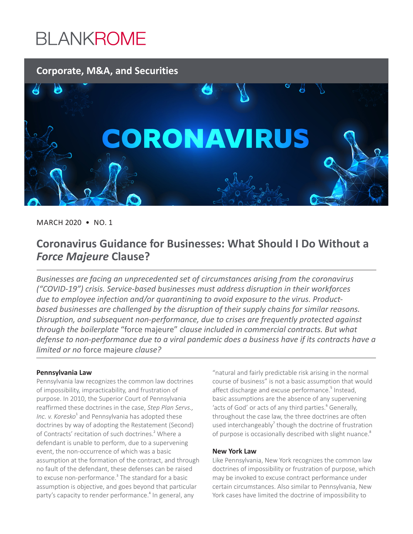# **BLANKROME**



MARCH 2020 • NO. 1

# **Coronavirus Guidance for Businesses: What Should I Do Without a**  *Force Majeure* **Clause?**

*Businesses are facing an unprecedented set of circumstances arising from the coronavirus ("COVID-19") crisis. Service-based businesses must address disruption in their workforces due to employee infection and/or quarantining to avoid exposure to the virus. Productbased businesses are challenged by the disruption of their supply chains for similar reasons. Disruption, and subsequent non-performance, due to crises are frequently protected against through the boilerplate* "force majeure" *clause included in commercial contracts. But what defense to non-performance due to a viral pandemic does a business have if its contracts have a limited or no* force majeure *clause?* 

### **Pennsylvania Law**

Pennsylvania law recognizes the common law doctrines of impossibility, impracticability, and frustration of purpose. In 2010, the Superior Court of Pennsylvania reaffirmed these doctrines in the case, *Step Plan Servs.,*  Inc. v. Koresko<sup>1</sup> and Pennsylvania has adopted these doctrines by way of adopting the Restatement (Second) of Contracts' recitation of such doctrines.<sup>2</sup> Where a defendant is unable to perform, due to a supervening event, the non-occurrence of which was a basic assumption at the formation of the contract, and through no fault of the defendant, these defenses can be raised to excuse non-performance.<sup>3</sup> The standard for a basic assumption is objective, and goes beyond that particular party's capacity to render performance.<sup>4</sup> In general, any

"natural and fairly predictable risk arising in the normal course of business" is not a basic assumption that would affect discharge and excuse performance.<sup>5</sup> Instead, basic assumptions are the absence of any supervening 'acts of God' or acts of any third parties.<sup>6</sup> Generally, throughout the case law, the three doctrines are often used interchangeably<sup>7</sup> though the doctrine of frustration of purpose is occasionally described with slight nuance.<sup>8</sup>

### **New York Law**

Like Pennsylvania, New York recognizes the common law doctrines of impossibility or frustration of purpose, which may be invoked to excuse contract performance under certain circumstances. Also similar to Pennsylvania, New York cases have limited the doctrine of impossibility to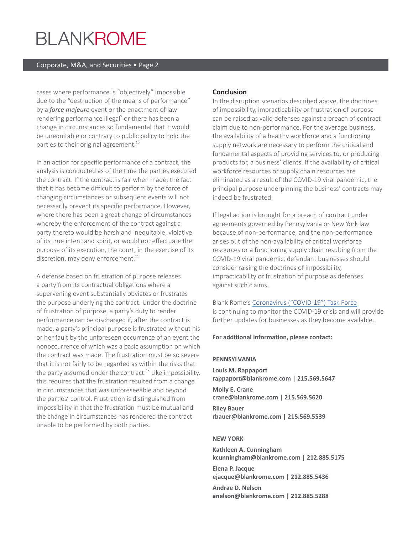# **BLANKROME**

#### Corporate, M&A, and Securities • Page 2

cases where performance is "objectively" impossible due to the "destruction of the means of performance" by a *force majeure* event or the enactment of law rendering performance illegal<sup>9</sup> or there has been a change in circumstances so fundamental that it would be unequitable or contrary to public policy to hold the parties to their original agreement.<sup>10</sup>

In an action for specific performance of a contract, the analysis is conducted as of the time the parties executed the contract. If the contract is fair when made, the fact that it has become difficult to perform by the force of changing circumstances or subsequent events will not necessarily prevent its specific performance. However, where there has been a great change of circumstances whereby the enforcement of the contract against a party thereto would be harsh and inequitable, violative of its true intent and spirit, or would not effectuate the purpose of its execution, the court, in the exercise of its discretion, may deny enforcement.<sup>11</sup>

A defense based on frustration of purpose releases a party from its contractual obligations where a supervening event substantially obviates or frustrates the purpose underlying the contract. Under the doctrine of frustration of purpose, a party's duty to render performance can be discharged if, after the contract is made, a party's principal purpose is frustrated without his or her fault by the unforeseen occurrence of an event the nonoccurrence of which was a basic assumption on which the contract was made. The frustration must be so severe that it is not fairly to be regarded as within the risks that the party assumed under the contract.<sup>12</sup> Like impossibility, this requires that the frustration resulted from a change in circumstances that was unforeseeable and beyond the parties' control. Frustration is distinguished from impossibility in that the frustration must be mutual and the change in circumstances has rendered the contract unable to be performed by both parties.

### **Conclusion**

In the disruption scenarios described above, the doctrines of impossibility, impracticability or frustration of purpose can be raised as valid defenses against a breach of contract claim due to non-performance. For the average business, the availability of a healthy workforce and a functioning supply network are necessary to perform the critical and fundamental aspects of providing services to, or producing products for, a business' clients. If the availability of critical workforce resources or supply chain resources are eliminated as a result of the COVID-19 viral pandemic, the principal purpose underpinning the business' contracts may indeed be frustrated.

If legal action is brought for a breach of contract under agreements governed by Pennsylvania or New York law because of non-performance, and the non-performance arises out of the non-availability of critical workforce resources or a functioning supply chain resulting from the COVID-19 viral pandemic, defendant businesses should consider raising the doctrines of impossibility, impracticability or frustration of purpose as defenses against such claims.

Blank Rome's Coronavirus ("COVID-19") Task Force is continuing to monitor the COVID-19 crisis and will provide further updates for businesses as they become available.

#### **For additional information, please contact:**

#### **PENNSYLVANIA**

**Louis M. Rappaport rappaport@blankrome.com | 215.569.5647 Molly E. Crane crane@blankrome.com | 215.569.5620**

**Riley Bauer rbauer@blankrome.com | 215.569.5539**

#### **NEW YORK**

**Kathleen A. Cunningham kcunningham@blankrome.com | 212.885.5175**

**Elena P. Jacque ejacque@blankrome.com | 212.885.5436**

**Andrae D. Nelson anelson@blankrome.com | 212.885.5288**